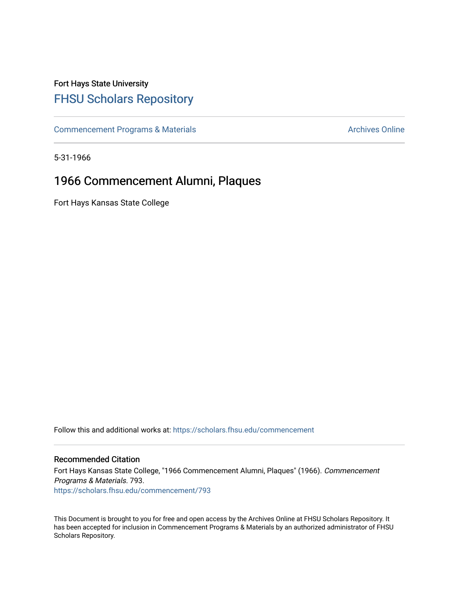## Fort Hays State University [FHSU Scholars Repository](https://scholars.fhsu.edu/)

[Commencement Programs & Materials](https://scholars.fhsu.edu/commencement) **Archives Online** Archives Online

5-31-1966

## 1966 Commencement Alumni, Plaques

Fort Hays Kansas State College

Follow this and additional works at: [https://scholars.fhsu.edu/commencement](https://scholars.fhsu.edu/commencement?utm_source=scholars.fhsu.edu%2Fcommencement%2F793&utm_medium=PDF&utm_campaign=PDFCoverPages)

## Recommended Citation

Fort Hays Kansas State College, "1966 Commencement Alumni, Plaques" (1966). Commencement Programs & Materials. 793. [https://scholars.fhsu.edu/commencement/793](https://scholars.fhsu.edu/commencement/793?utm_source=scholars.fhsu.edu%2Fcommencement%2F793&utm_medium=PDF&utm_campaign=PDFCoverPages)

This Document is brought to you for free and open access by the Archives Online at FHSU Scholars Repository. It has been accepted for inclusion in Commencement Programs & Materials by an authorized administrator of FHSU Scholars Repository.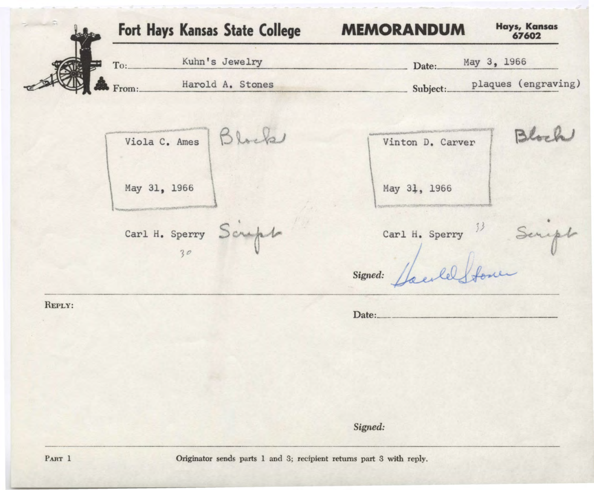Fort Hays Kansas State College **MEMORANDUM Hays, Kansas 67602**  To: Kuhn's Jewelry bate: May 3, 1966 From: Harold A. Stones Subject: plaques (engraving) Block Block Viola c. Ames Vinton D. Carver May 31, 1966 May 31, 1966  $p$ Carl H. Sperry  $\mathcal{S}$ Carl H. Sperry <sup>33</sup> Seriet ç. 30 *Signed:*   $\mathbf{Date:}$ REPLY:

*Signed:* 

Originator sends parts 1 and 3; recipient returns part 3 with reply.